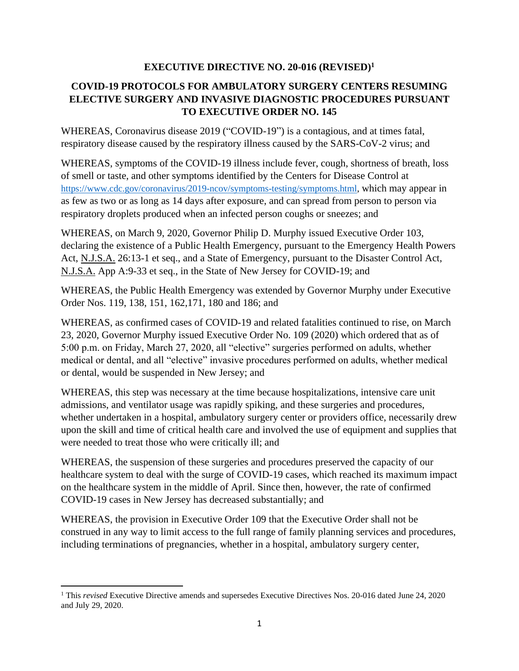## **EXECUTIVE DIRECTIVE NO. 20-016 (REVISED)<sup>1</sup>**

# **COVID-19 PROTOCOLS FOR AMBULATORY SURGERY CENTERS RESUMING ELECTIVE SURGERY AND INVASIVE DIAGNOSTIC PROCEDURES PURSUANT TO EXECUTIVE ORDER NO. 145**

WHEREAS, Coronavirus disease 2019 ("COVID-19") is a contagious, and at times fatal, respiratory disease caused by the respiratory illness caused by the SARS-CoV-2 virus; and

WHEREAS, symptoms of the COVID-19 illness include fever, cough, shortness of breath, loss of smell or taste, and other symptoms identified by the Centers for Disease Control at [https://www.cdc.gov/coronavirus/2019-ncov/symptoms-testing/symptoms.html,](https://www.cdc.gov/coronavirus/2019-ncov/symptoms-testing/symptoms.html) which may appear in as few as two or as long as 14 days after exposure, and can spread from person to person via respiratory droplets produced when an infected person coughs or sneezes; and

WHEREAS, on March 9, 2020, Governor Philip D. Murphy issued Executive Order 103, declaring the existence of a Public Health Emergency, pursuant to the Emergency Health Powers Act, N.J.S.A. 26:13-1 et seq., and a State of Emergency, pursuant to the Disaster Control Act, N.J.S.A. App A:9-33 et seq., in the State of New Jersey for COVID-19; and

WHEREAS, the Public Health Emergency was extended by Governor Murphy under Executive Order Nos. 119, 138, 151, 162,171, 180 and 186; and

WHEREAS, as confirmed cases of COVID-19 and related fatalities continued to rise, on March 23, 2020, Governor Murphy issued Executive Order No. 109 (2020) which ordered that as of 5:00 p.m. on Friday, March 27, 2020, all "elective" surgeries performed on adults, whether medical or dental, and all "elective" invasive procedures performed on adults, whether medical or dental, would be suspended in New Jersey; and

WHEREAS, this step was necessary at the time because hospitalizations, intensive care unit admissions, and ventilator usage was rapidly spiking, and these surgeries and procedures, whether undertaken in a hospital, ambulatory surgery center or providers office, necessarily drew upon the skill and time of critical health care and involved the use of equipment and supplies that were needed to treat those who were critically ill; and

WHEREAS, the suspension of these surgeries and procedures preserved the capacity of our healthcare system to deal with the surge of COVID-19 cases, which reached its maximum impact on the healthcare system in the middle of April. Since then, however, the rate of confirmed COVID-19 cases in New Jersey has decreased substantially; and

WHEREAS, the provision in Executive Order 109 that the Executive Order shall not be construed in any way to limit access to the full range of family planning services and procedures, including terminations of pregnancies, whether in a hospital, ambulatory surgery center,

<sup>1</sup> This *revised* Executive Directive amends and supersedes Executive Directives Nos. 20-016 dated June 24, 2020 and July 29, 2020.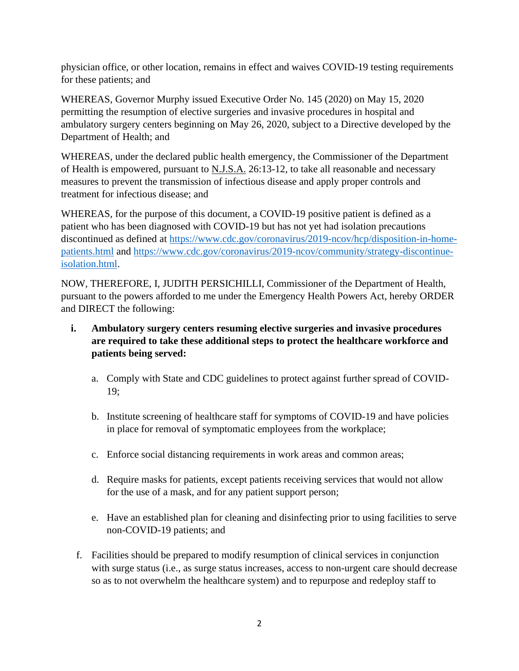physician office, or other location, remains in effect and waives COVID-19 testing requirements for these patients; and

WHEREAS, Governor Murphy issued Executive Order No. 145 (2020) on May 15, 2020 permitting the resumption of elective surgeries and invasive procedures in hospital and ambulatory surgery centers beginning on May 26, 2020, subject to a Directive developed by the Department of Health; and

WHEREAS, under the declared public health emergency, the Commissioner of the Department of Health is empowered, pursuant to N.J.S.A. 26:13-12, to take all reasonable and necessary measures to prevent the transmission of infectious disease and apply proper controls and treatment for infectious disease; and

WHEREAS, for the purpose of this document, a COVID-19 positive patient is defined as a patient who has been diagnosed with COVID-19 but has not yet had isolation precautions discontinued as defined at [https://www.cdc.gov/coronavirus/2019-ncov/hcp/disposition-in-home](https://www.cdc.gov/coronavirus/2019-ncov/hcp/disposition-in-home-patients.html)[patients.html](https://www.cdc.gov/coronavirus/2019-ncov/hcp/disposition-in-home-patients.html) and [https://www.cdc.gov/coronavirus/2019-ncov/community/strategy-discontinue](https://www.cdc.gov/coronavirus/2019-ncov/community/strategy-discontinue-isolation.html)[isolation.html.](https://www.cdc.gov/coronavirus/2019-ncov/community/strategy-discontinue-isolation.html)

NOW, THEREFORE, I, JUDITH PERSICHILLI, Commissioner of the Department of Health, pursuant to the powers afforded to me under the Emergency Health Powers Act, hereby ORDER and DIRECT the following:

- **i. Ambulatory surgery centers resuming elective surgeries and invasive procedures are required to take these additional steps to protect the healthcare workforce and patients being served:** 
	- a. Comply with State and CDC guidelines to protect against further spread of COVID-19;
	- b. Institute screening of healthcare staff for symptoms of COVID-19 and have policies in place for removal of symptomatic employees from the workplace;
	- c. Enforce social distancing requirements in work areas and common areas;
	- d. Require masks for patients, except patients receiving services that would not allow for the use of a mask, and for any patient support person;
	- e. Have an established plan for cleaning and disinfecting prior to using facilities to serve non-COVID-19 patients; and
	- f. Facilities should be prepared to modify resumption of clinical services in conjunction with surge status (i.e., as surge status increases, access to non-urgent care should decrease so as to not overwhelm the healthcare system) and to repurpose and redeploy staff to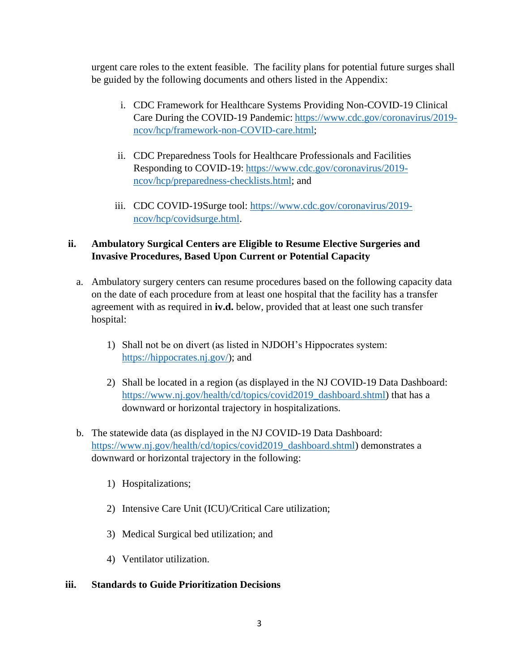urgent care roles to the extent feasible. The facility plans for potential future surges shall be guided by the following documents and others listed in the Appendix:

- i. CDC Framework for Healthcare Systems Providing Non-COVID-19 Clinical Care During the COVID-19 Pandemic: [https://www.cdc.gov/coronavirus/2019](https://www.cdc.gov/coronavirus/2019-ncov/hcp/framework-non-COVID-care.html) [ncov/hcp/framework-non-COVID-care.html;](https://www.cdc.gov/coronavirus/2019-ncov/hcp/framework-non-COVID-care.html)
- ii. CDC Preparedness Tools for Healthcare Professionals and Facilities Responding to COVID-19: [https://www.cdc.gov/coronavirus/2019](https://www.cdc.gov/coronavirus/2019-ncov/hcp/preparedness-checklists.html) [ncov/hcp/preparedness-checklists.html;](https://www.cdc.gov/coronavirus/2019-ncov/hcp/preparedness-checklists.html) and
- iii. CDC COVID-19Surge tool: [https://www.cdc.gov/coronavirus/2019](https://www.cdc.gov/coronavirus/2019-ncov/hcp/covidsurge.html) [ncov/hcp/covidsurge.html.](https://www.cdc.gov/coronavirus/2019-ncov/hcp/covidsurge.html)

## **ii. Ambulatory Surgical Centers are Eligible to Resume Elective Surgeries and Invasive Procedures, Based Upon Current or Potential Capacity**

- a. Ambulatory surgery centers can resume procedures based on the following capacity data on the date of each procedure from at least one hospital that the facility has a transfer agreement with as required in **iv.d.** below, provided that at least one such transfer hospital:
	- 1) Shall not be on divert (as listed in NJDOH's Hippocrates system: [https://hippocrates.nj.gov/\)](https://hippocrates.nj.gov/); and
	- 2) Shall be located in a region (as displayed in the NJ COVID-19 Data Dashboard: [https://www.nj.gov/health/cd/topics/covid2019\\_dashboard.shtml\)](https://www.nj.gov/health/cd/topics/covid2019_dashboard.shtml) that has a downward or horizontal trajectory in hospitalizations.
- b. The statewide data (as displayed in the NJ COVID-19 Data Dashboard: [https://www.nj.gov/health/cd/topics/covid2019\\_dashboard.shtml\)](https://www.nj.gov/health/cd/topics/covid2019_dashboard.shtml) demonstrates a downward or horizontal trajectory in the following:
	- 1) Hospitalizations;
	- 2) Intensive Care Unit (ICU)/Critical Care utilization;
	- 3) Medical Surgical bed utilization; and
	- 4) Ventilator utilization.

### **iii. Standards to Guide Prioritization Decisions**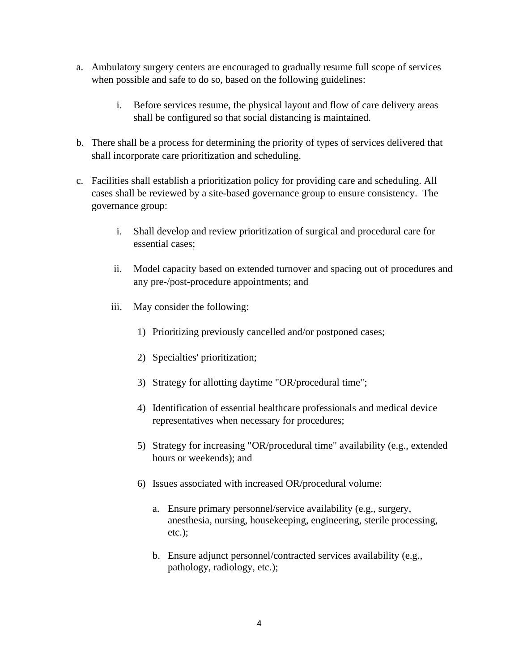- a. Ambulatory surgery centers are encouraged to gradually resume full scope of services when possible and safe to do so, based on the following guidelines:
	- i. Before services resume, the physical layout and flow of care delivery areas shall be configured so that social distancing is maintained.
- b. There shall be a process for determining the priority of types of services delivered that shall incorporate care prioritization and scheduling.
- c. Facilities shall establish a prioritization policy for providing care and scheduling. All cases shall be reviewed by a site-based governance group to ensure consistency. The governance group:
	- i. Shall develop and review prioritization of surgical and procedural care for essential cases;
	- ii. Model capacity based on extended turnover and spacing out of procedures and any pre-/post-procedure appointments; and
	- iii. May consider the following:
		- 1) Prioritizing previously cancelled and/or postponed cases;
		- 2) Specialties' prioritization;
		- 3) Strategy for allotting daytime "OR/procedural time";
		- 4) Identification of essential healthcare professionals and medical device representatives when necessary for procedures;
		- 5) Strategy for increasing "OR/procedural time" availability (e.g., extended hours or weekends); and
		- 6) Issues associated with increased OR/procedural volume:
			- a. Ensure primary personnel/service availability (e.g., surgery, anesthesia, nursing, housekeeping, engineering, sterile processing, etc.);
			- b. Ensure adjunct personnel/contracted services availability (e.g., pathology, radiology, etc.);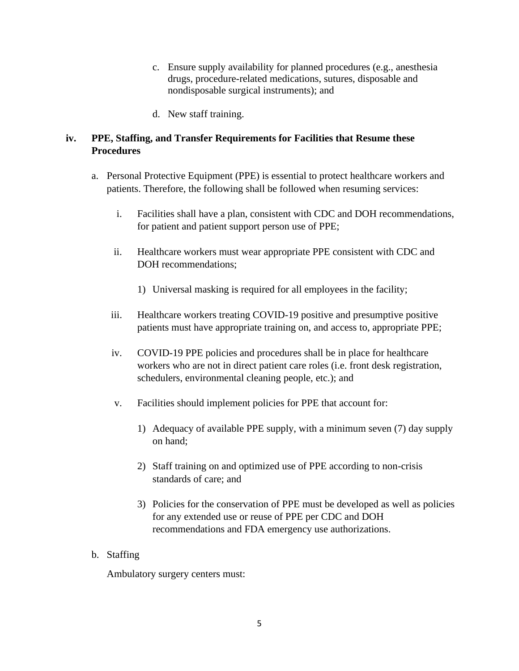- c. Ensure supply availability for planned procedures (e.g., anesthesia drugs, procedure-related medications, sutures, disposable and nondisposable surgical instruments); and
- d. New staff training.

## **iv. PPE, Staffing, and Transfer Requirements for Facilities that Resume these Procedures**

- a. Personal Protective Equipment (PPE) is essential to protect healthcare workers and patients. Therefore, the following shall be followed when resuming services:
	- i. Facilities shall have a plan, consistent with CDC and DOH recommendations, for patient and patient support person use of PPE;
	- ii. Healthcare workers must wear appropriate PPE consistent with CDC and DOH recommendations:
		- 1) Universal masking is required for all employees in the facility;
	- iii. Healthcare workers treating COVID-19 positive and presumptive positive patients must have appropriate training on, and access to, appropriate PPE;
	- iv. COVID-19 PPE policies and procedures shall be in place for healthcare workers who are not in direct patient care roles (i.e. front desk registration, schedulers, environmental cleaning people, etc.); and
	- v. Facilities should implement policies for PPE that account for:
		- 1) Adequacy of available PPE supply, with a minimum seven (7) day supply on hand;
		- 2) Staff training on and optimized use of PPE according to non-crisis standards of care; and
		- 3) Policies for the conservation of PPE must be developed as well as policies for any extended use or reuse of PPE per CDC and DOH recommendations and FDA emergency use authorizations.
- b. Staffing

Ambulatory surgery centers must: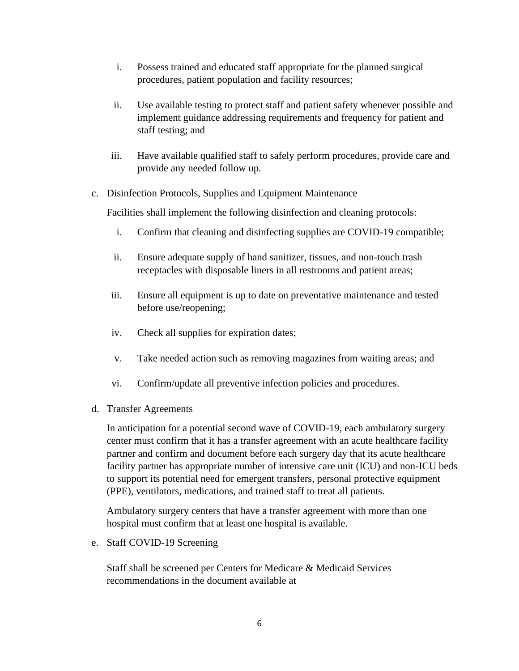- i. Possess trained and educated staff appropriate for the planned surgical procedures, patient population and facility resources;
- ii. Use available testing to protect staff and patient safety whenever possible and implement guidance addressing requirements and frequency for patient and staff testing; and
- iii. Have available qualified staff to safely perform procedures, provide care and provide any needed follow up.
- c. Disinfection Protocols, Supplies and Equipment Maintenance

Facilities shall implement the following disinfection and cleaning protocols:

- i. Confirm that cleaning and disinfecting supplies are COVID-19 compatible;
- ii. Ensure adequate supply of hand sanitizer, tissues, and non-touch trash receptacles with disposable liners in all restrooms and patient areas;
- iii. Ensure all equipment is up to date on preventative maintenance and tested before use/reopening;
- iv. Check all supplies for expiration dates;
- v. Take needed action such as removing magazines from waiting areas; and
- vi. Confirm/update all preventive infection policies and procedures.
- d. Transfer Agreements

In anticipation for a potential second wave of COVID-19, each ambulatory surgery center must confirm that it has a transfer agreement with an acute healthcare facility partner and confirm and document before each surgery day that its acute healthcare facility partner has appropriate number of intensive care unit (ICU) and non-ICU beds to support its potential need for emergent transfers, personal protective equipment (PPE), ventilators, medications, and trained staff to treat all patients.

Ambulatory surgery centers that have a transfer agreement with more than one hospital must confirm that at least one hospital is available.

e. Staff COVID-19 Screening

Staff shall be screened per Centers for Medicare & Medicaid Services recommendations in the document available at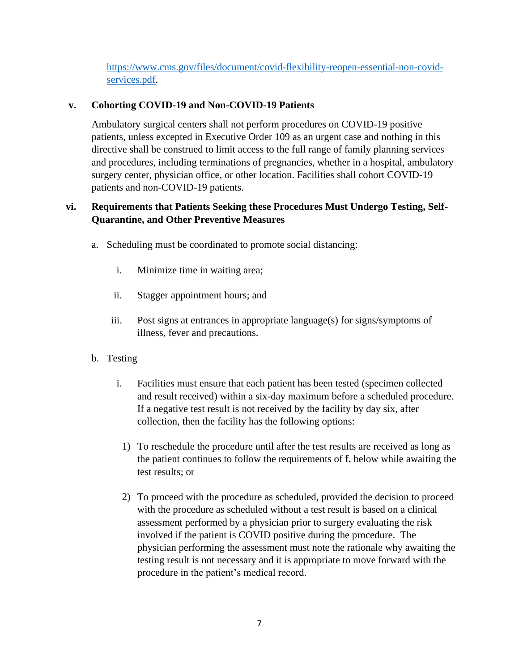[https://www.cms.gov/files/document/covid-flexibility-reopen-essential-non-covid](https://www.cms.gov/files/document/covid-flexibility-reopen-essential-non-covid-services.pdf)[services.pdf.](https://www.cms.gov/files/document/covid-flexibility-reopen-essential-non-covid-services.pdf)

## **v. Cohorting COVID-19 and Non-COVID-19 Patients**

Ambulatory surgical centers shall not perform procedures on COVID-19 positive patients, unless excepted in Executive Order 109 as an urgent case and nothing in this directive shall be construed to limit access to the full range of family planning services and procedures, including terminations of pregnancies, whether in a hospital, ambulatory surgery center, physician office, or other location. Facilities shall cohort COVID-19 patients and non-COVID-19 patients.

## **vi. Requirements that Patients Seeking these Procedures Must Undergo Testing, Self-Quarantine, and Other Preventive Measures**

- a. Scheduling must be coordinated to promote social distancing:
	- i. Minimize time in waiting area;
	- ii. Stagger appointment hours; and
	- iii. Post signs at entrances in appropriate language(s) for signs/symptoms of illness, fever and precautions.
- b. Testing
	- i. Facilities must ensure that each patient has been tested (specimen collected and result received) within a six-day maximum before a scheduled procedure. If a negative test result is not received by the facility by day six, after collection, then the facility has the following options:
		- 1) To reschedule the procedure until after the test results are received as long as the patient continues to follow the requirements of **f.** below while awaiting the test results; or
	- 2) To proceed with the procedure as scheduled, provided the decision to proceed with the procedure as scheduled without a test result is based on a clinical assessment performed by a physician prior to surgery evaluating the risk involved if the patient is COVID positive during the procedure. The physician performing the assessment must note the rationale why awaiting the testing result is not necessary and it is appropriate to move forward with the procedure in the patient's medical record.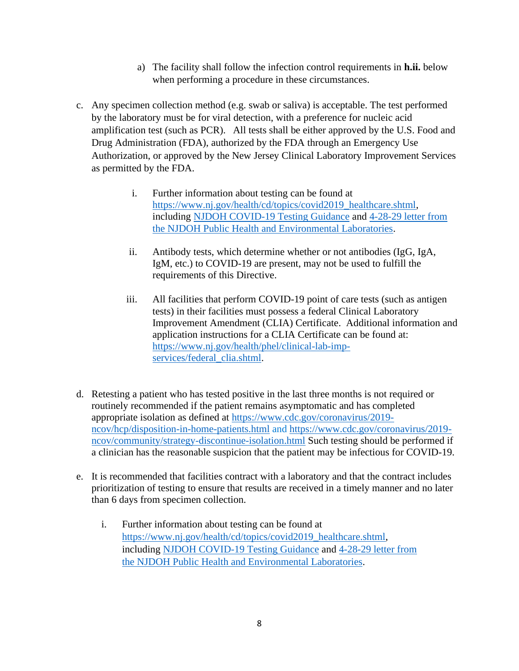- a) The facility shall follow the infection control requirements in **h.ii.** below when performing a procedure in these circumstances.
- c. Any specimen collection method (e.g. swab or saliva) is acceptable. The test performed by the laboratory must be for viral detection, with a preference for nucleic acid amplification test (such as PCR). All tests shall be either approved by the U.S. Food and Drug Administration (FDA), authorized by the FDA through an Emergency Use Authorization, or approved by the New Jersey Clinical Laboratory Improvement Services as permitted by the FDA.
	- i. Further information about testing can be found at [https://www.nj.gov/health/cd/topics/covid2019\\_healthcare.shtml,](https://www.nj.gov/health/cd/topics/covid2019_healthcare.shtml) including [NJDOH COVID-19 Testing Guidance](https://www.nj.gov/health/cd/documents/topics/NCOV/COVID_Testing_Guidance.pdf) and [4-28-29 letter from](https://www.nj.gov/health/cd/documents/topics/NCOV/COVID_SerologyLetter_PHEL.pdf)  [the NJDOH Public Health and Environmental Laboratories.](https://www.nj.gov/health/cd/documents/topics/NCOV/COVID_SerologyLetter_PHEL.pdf)
	- ii. Antibody tests, which determine whether or not antibodies (IgG, IgA, IgM, etc.) to COVID-19 are present, may not be used to fulfill the requirements of this Directive.
	- iii. All facilities that perform COVID-19 point of care tests (such as antigen tests) in their facilities must possess a federal Clinical Laboratory Improvement Amendment (CLIA) Certificate. Additional information and application instructions for a CLIA Certificate can be found at: [https://www.nj.gov/health/phel/clinical-lab-imp](https://www.nj.gov/health/phel/clinical-lab-imp-services/federal_clia.shtml)[services/federal\\_clia.shtml.](https://www.nj.gov/health/phel/clinical-lab-imp-services/federal_clia.shtml)
- d. Retesting a patient who has tested positive in the last three months is not required or routinely recommended if the patient remains asymptomatic and has completed appropriate isolation as defined at [https://www.cdc.gov/coronavirus/2019](https://www.cdc.gov/coronavirus/2019-ncov/hcp/disposition-in-home-patients.html) [ncov/hcp/disposition-in-home-patients.html](https://www.cdc.gov/coronavirus/2019-ncov/hcp/disposition-in-home-patients.html) and [https://www.cdc.gov/coronavirus/2019](https://www.cdc.gov/coronavirus/2019-ncov/community/strategy-discontinue-isolation.html) [ncov/community/strategy-discontinue-isolation.html](https://www.cdc.gov/coronavirus/2019-ncov/community/strategy-discontinue-isolation.html) Such testing should be performed if a clinician has the reasonable suspicion that the patient may be infectious for COVID-19.
- e. It is recommended that facilities contract with a laboratory and that the contract includes prioritization of testing to ensure that results are received in a timely manner and no later than 6 days from specimen collection.
	- i. Further information about testing can be found at [https://www.nj.gov/health/cd/topics/covid2019\\_healthcare.shtml,](https://www.nj.gov/health/cd/topics/covid2019_healthcare.shtml) including [NJDOH COVID-19 Testing Guidance](https://www.nj.gov/health/cd/documents/topics/NCOV/COVID_Testing_Guidance.pdf) and [4-28-29 letter from](https://www.nj.gov/health/cd/documents/topics/NCOV/COVID_SerologyLetter_PHEL.pdf)  [the NJDOH Public Health and Environmental Laboratories.](https://www.nj.gov/health/cd/documents/topics/NCOV/COVID_SerologyLetter_PHEL.pdf)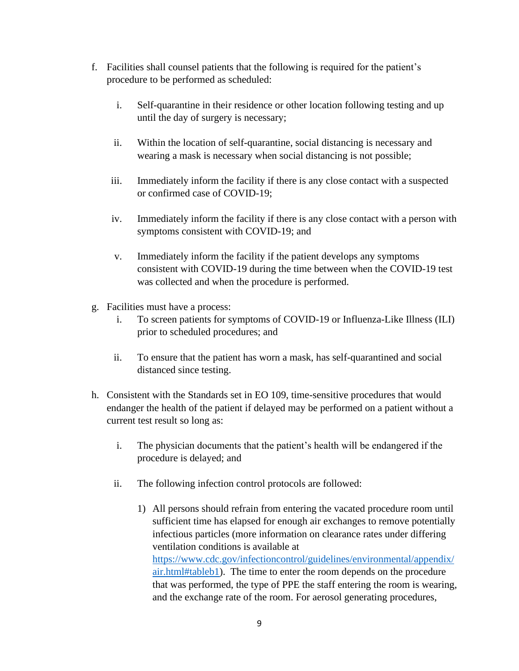- f. Facilities shall counsel patients that the following is required for the patient's procedure to be performed as scheduled:
	- i. Self-quarantine in their residence or other location following testing and up until the day of surgery is necessary;
	- ii. Within the location of self-quarantine, social distancing is necessary and wearing a mask is necessary when social distancing is not possible;
	- iii. Immediately inform the facility if there is any close contact with a suspected or confirmed case of COVID-19;
	- iv. Immediately inform the facility if there is any close contact with a person with symptoms consistent with COVID-19; and
	- v. Immediately inform the facility if the patient develops any symptoms consistent with COVID-19 during the time between when the COVID-19 test was collected and when the procedure is performed.
- g. Facilities must have a process:
	- i. To screen patients for symptoms of COVID-19 or Influenza-Like Illness (ILI) prior to scheduled procedures; and
	- ii. To ensure that the patient has worn a mask, has self-quarantined and social distanced since testing.
- h. Consistent with the Standards set in EO 109, time-sensitive procedures that would endanger the health of the patient if delayed may be performed on a patient without a current test result so long as:
	- i. The physician documents that the patient's health will be endangered if the procedure is delayed; and
	- ii. The following infection control protocols are followed:
		- 1) All persons should refrain from entering the vacated procedure room until sufficient time has elapsed for enough air exchanges to remove potentially infectious particles (more information on clearance rates under differing ventilation conditions is available at [https://www.cdc.gov/infectioncontrol/guidelines/environmental/appendix/](https://www.cdc.gov/infectioncontrol/guidelines/environmental/appendix/air.html#tableb1) [air.html#tableb1\)](https://www.cdc.gov/infectioncontrol/guidelines/environmental/appendix/air.html#tableb1). The time to enter the room depends on the procedure that was performed, the type of PPE the staff entering the room is wearing, and the exchange rate of the room. For aerosol generating procedures,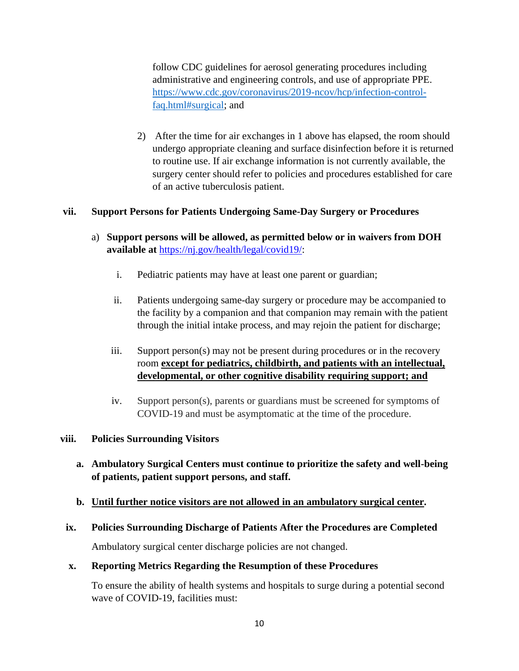follow CDC guidelines for aerosol generating procedures including administrative and engineering controls, and use of appropriate PPE. [https://www.cdc.gov/coronavirus/2019-ncov/hcp/infection-control](https://www.cdc.gov/coronavirus/2019-ncov/hcp/infection-control-faq.html#surgical)[faq.html#surgical;](https://www.cdc.gov/coronavirus/2019-ncov/hcp/infection-control-faq.html#surgical) and

2) After the time for air exchanges in 1 above has elapsed, the room should undergo appropriate cleaning and surface disinfection before it is returned to routine use. If air exchange information is not currently available, the surgery center should refer to policies and procedures established for care of an active tuberculosis patient.

### **vii. Support Persons for Patients Undergoing Same-Day Surgery or Procedures**

- a) **Support persons will be allowed, as permitted below or in waivers from DOH available at** [https://nj.gov/health/legal/covid19/:](https://nj.gov/health/legal/covid19/)
	- i. Pediatric patients may have at least one parent or guardian;
	- ii. Patients undergoing same-day surgery or procedure may be accompanied to the facility by a companion and that companion may remain with the patient through the initial intake process, and may rejoin the patient for discharge;
	- iii. Support person(s) may not be present during procedures or in the recovery room **except for pediatrics, childbirth, and patients with an intellectual, developmental, or other cognitive disability requiring support; and**
	- iv. Support person(s), parents or guardians must be screened for symptoms of COVID-19 and must be asymptomatic at the time of the procedure.

#### **viii. Policies Surrounding Visitors**

**a. Ambulatory Surgical Centers must continue to prioritize the safety and well-being of patients, patient support persons, and staff.** 

#### **b. Until further notice visitors are not allowed in an ambulatory surgical center.**

#### **ix. Policies Surrounding Discharge of Patients After the Procedures are Completed**

Ambulatory surgical center discharge policies are not changed.

#### **x. Reporting Metrics Regarding the Resumption of these Procedures**

To ensure the ability of health systems and hospitals to surge during a potential second wave of COVID-19, facilities must: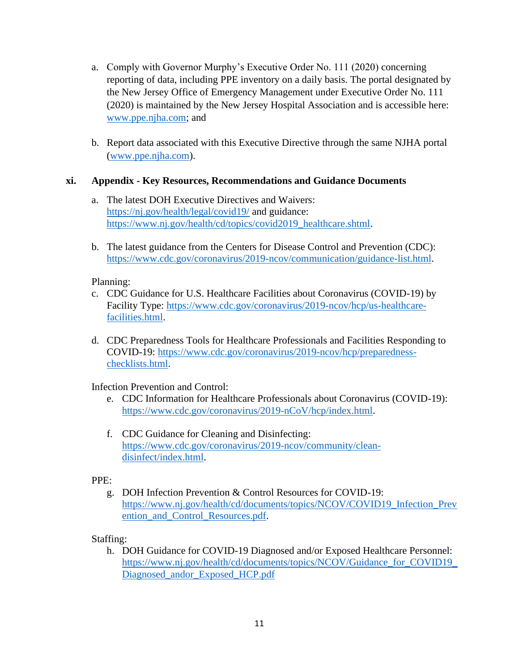- a. Comply with Governor Murphy's Executive Order No. 111 (2020) concerning reporting of data, including PPE inventory on a daily basis. The portal designated by the New Jersey Office of Emergency Management under Executive Order No. 111 (2020) is maintained by the New Jersey Hospital Association and is accessible here: [www.ppe.njha.com;](http://www.ppe.njha.com/) and
- b. Report data associated with this Executive Directive through the same NJHA portal [\(www.ppe.njha.com\)](http://www.ppe.njha.com/).

### **xi. Appendix - Key Resources, Recommendations and Guidance Documents**

- a. The latest DOH Executive Directives and Waivers: <https://nj.gov/health/legal/covid19/> and guidance: [https://www.nj.gov/health/cd/topics/covid2019\\_healthcare.shtml.](https://www.nj.gov/health/cd/topics/covid2019_healthcare.shtml)
- b. The latest guidance from the Centers for Disease Control and Prevention (CDC): [https://www.cdc.gov/coronavirus/2019-ncov/communication/guidance-list.html.](https://www.cdc.gov/coronavirus/2019-ncov/communication/guidance-list.html)

### Planning:

- c. CDC Guidance for U.S. Healthcare Facilities about Coronavirus (COVID-19) by Facility Type: [https://www.cdc.gov/coronavirus/2019-ncov/hcp/us-healthcare](https://www.cdc.gov/coronavirus/2019-ncov/hcp/us-healthcare-facilities.html)[facilities.html.](https://www.cdc.gov/coronavirus/2019-ncov/hcp/us-healthcare-facilities.html)
- d. CDC Preparedness Tools for Healthcare Professionals and Facilities Responding to COVID-19: [https://www.cdc.gov/coronavirus/2019-ncov/hcp/preparedness](https://www.cdc.gov/coronavirus/2019-ncov/hcp/preparedness-checklists.html)[checklists.html.](https://www.cdc.gov/coronavirus/2019-ncov/hcp/preparedness-checklists.html)

Infection Prevention and Control:

- e. CDC Information for Healthcare Professionals about Coronavirus (COVID-19): [https://www.cdc.gov/coronavirus/2019-nCoV/hcp/index.html.](https://www.cdc.gov/coronavirus/2019-nCoV/hcp/index.html)
- f. CDC Guidance for Cleaning and Disinfecting: [https://www.cdc.gov/coronavirus/2019-ncov/community/clean](https://www.cdc.gov/coronavirus/2019-ncov/community/clean-disinfect/index.html)[disinfect/index.html.](https://www.cdc.gov/coronavirus/2019-ncov/community/clean-disinfect/index.html)

### PPE:

g. DOH Infection Prevention & Control Resources for COVID-19: [https://www.nj.gov/health/cd/documents/topics/NCOV/COVID19\\_Infection\\_Prev](https://www.nj.gov/health/cd/documents/topics/NCOV/COVID19_Infection_Prevention_and_Control_Resources.pdf) ention and Control Resources.pdf.

Staffing:

h. DOH Guidance for COVID-19 Diagnosed and/or Exposed Healthcare Personnel: [https://www.nj.gov/health/cd/documents/topics/NCOV/Guidance\\_for\\_COVID19\\_](https://www.nj.gov/health/cd/documents/topics/NCOV/Guidance_for_COVID19_Diagnosed_andor_Exposed_HCP.pdf) [Diagnosed\\_andor\\_Exposed\\_HCP.pdf](https://www.nj.gov/health/cd/documents/topics/NCOV/Guidance_for_COVID19_Diagnosed_andor_Exposed_HCP.pdf)